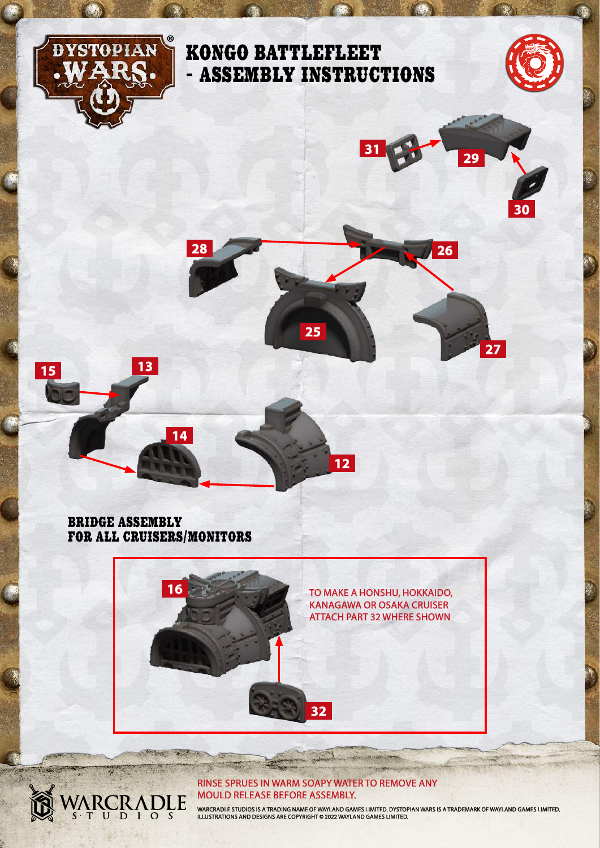

### RINSE SPRUES IN WARM SOAPY WATER TO REMOVE ANY MOULD RELEASE BEFORE ASSEMBLY.

ARCRADLE

WARCRADLE STUDIOS IS A TRADING NAME OF WAYLAND GAMES LIMITED. DYSTOPIAN WARS IS A TRADEMARK OF WAYLAND GAMES LIMITED.<br>ILLUSTRATIONS AND DESIGNS ARE COPYRIGHT © 2022 WAYLAND GAMES LIMITED.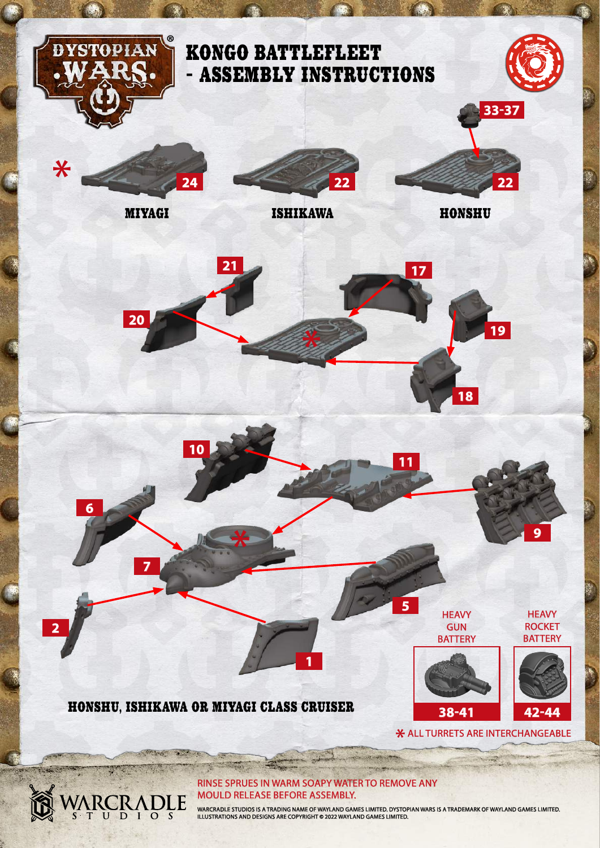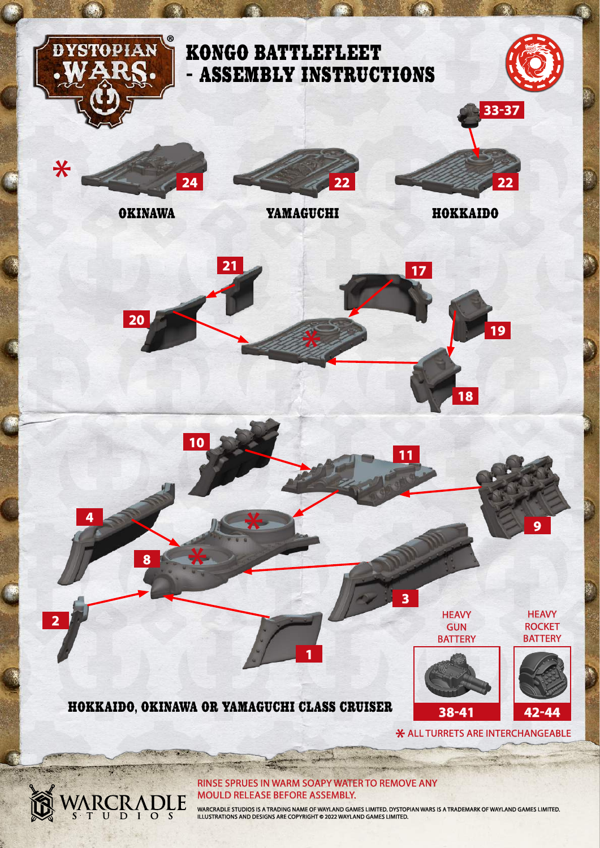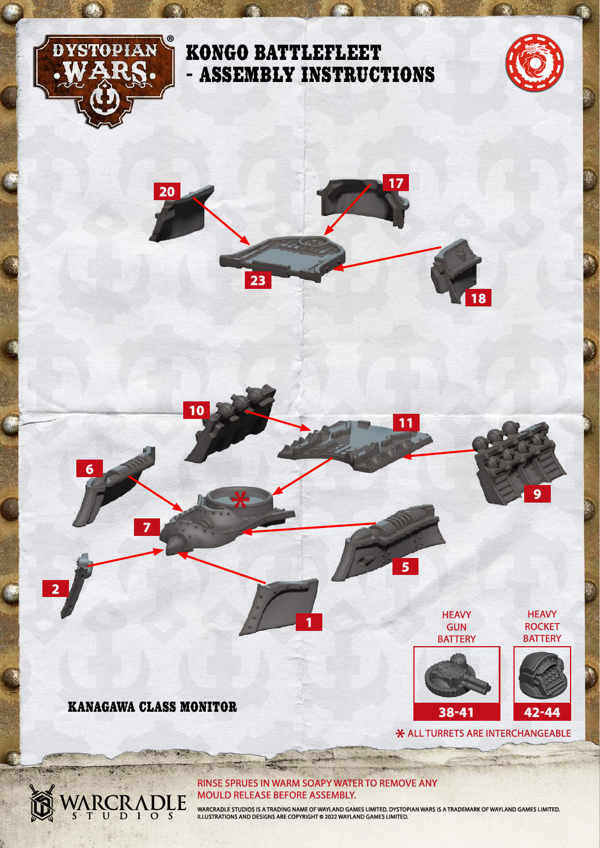

### KONGO BATTLEFLEET - ASSEMBLY INSTRUCTIONS





KANAGAWA CLASS MONITOR

**CARD TO BE** 

ARCRADLE

1200

**7**

**6**

**2**

**10**

### RINSE SPRUES IN WARM SOAPY WATER TO REMOVE ANY MOULD RELEASE BEFORE ASSEMBLY.

**1**

WARCRADLE STUDIOS IS A TRADING NAME OF WAYLAND GAMES LIMITED. DYSTOPIAN WARS IS A TRADEMARK OF WAYLAND GAMES LIMITED.<br>ILLUSTRATIONS AND DESIGNS ARE COPYRIGHT © 2022 WAYLAND GAMES LIMITED.

\* ALL TURRETS ARE INTERCHANGEABLE

**HEAVY** GUN **BATTERY** 

**11**

**5**

**38-41**

**HEAVY ROCKET BATTERY** 

**9**

**42-44**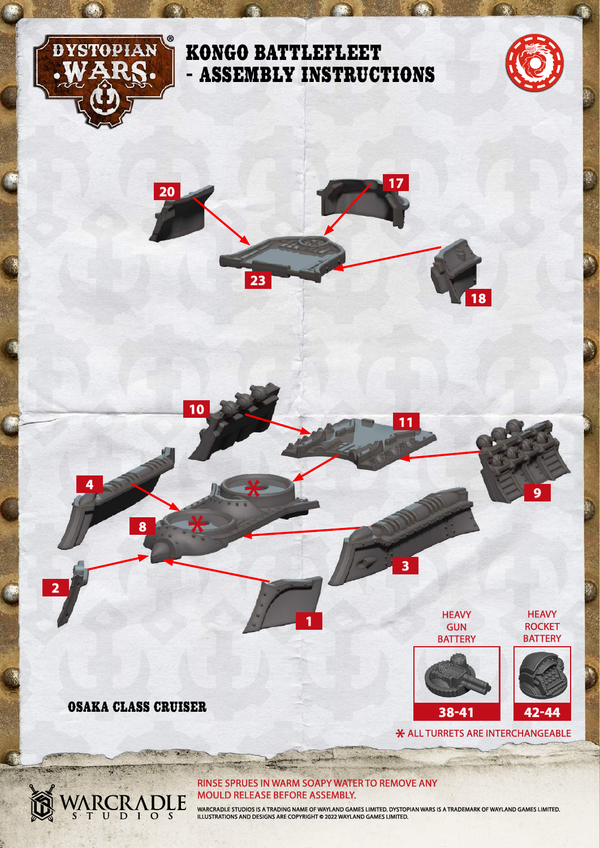

## KONGO BATTLEFLEET - ASSEMBLY INSTRUCTIONS



**9**

**HEAVY ROCKET BATTERY** 

**42-44**

\* ALL TURRETS ARE INTERCHANGEABLE

**HEAVY** GUN **BATTERY** 

**38-41**





ARCRADLE

**CONTRACTOR** 

2352

**8**

**4**

**2**

**10**

### RINSE SPRUES IN WARM SOAPY WATER TO REMOVE ANY MOULD RELEASE BEFORE ASSEMBLY.

**1**

WARCRADLE STUDIOS IS A TRADING NAME OF WAYLAND GAMES LIMITED. DYSTOPIAN WARS IS A TRADEMARK OF WAYLAND GAMES LIMITED.<br>ILLUSTRATIONS AND DESIGNS ARE COPYRIGHT © 2022 WAYLAND GAMES LIMITED.

**11**

**3**